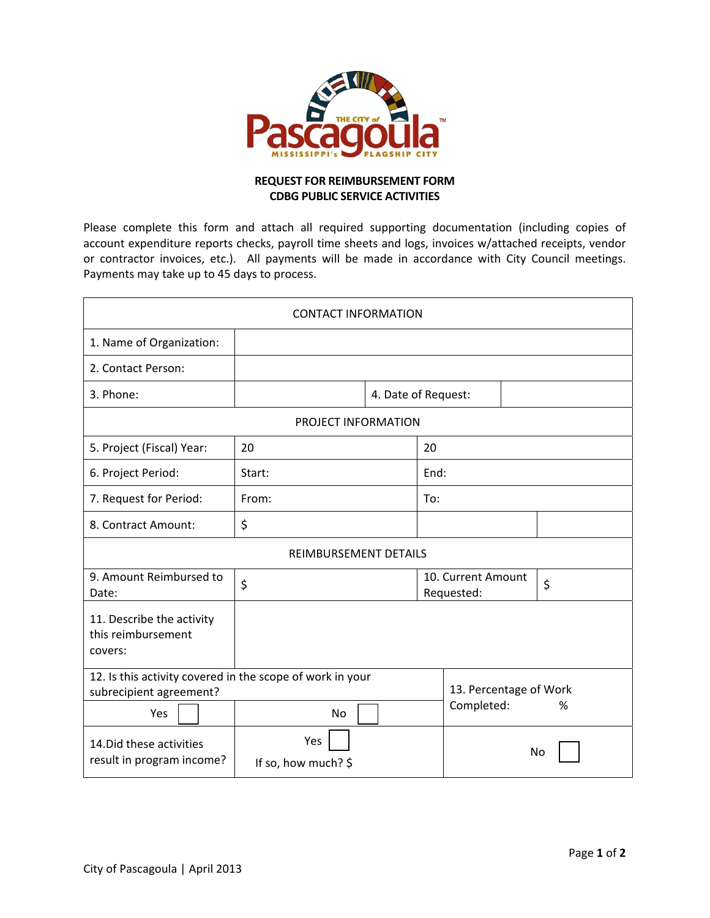

## **REQUEST FOR REIMBURSEMENT FORM CDBG PUBLIC SERVICE ACTIVITIES**

Please complete this form and attach all required supporting documentation (including copies of account expenditure reports checks, payroll time sheets and logs, invoices w/attached receipts, vendor or contractor invoices, etc.). All payments will be made in accordance with City Council meetings. Payments may take up to 45 days to process.

| <b>CONTACT INFORMATION</b>                                 |                                                                 |                     |                                  |                                           |    |  |  |
|------------------------------------------------------------|-----------------------------------------------------------------|---------------------|----------------------------------|-------------------------------------------|----|--|--|
| 1. Name of Organization:                                   |                                                                 |                     |                                  |                                           |    |  |  |
| 2. Contact Person:                                         |                                                                 |                     |                                  |                                           |    |  |  |
| 3. Phone:                                                  |                                                                 | 4. Date of Request: |                                  |                                           |    |  |  |
| PROJECT INFORMATION                                        |                                                                 |                     |                                  |                                           |    |  |  |
| 5. Project (Fiscal) Year:                                  | 20                                                              |                     | 20                               |                                           |    |  |  |
| 6. Project Period:                                         | Start:                                                          |                     | End:                             |                                           |    |  |  |
| 7. Request for Period:                                     | From:                                                           |                     | To:                              |                                           |    |  |  |
| 8. Contract Amount:                                        | \$                                                              |                     |                                  |                                           |    |  |  |
| <b>REIMBURSEMENT DETAILS</b>                               |                                                                 |                     |                                  |                                           |    |  |  |
| 9. Amount Reimbursed to<br>Date:                           | \$                                                              |                     | 10. Current Amount<br>Requested: |                                           | \$ |  |  |
| 11. Describe the activity<br>this reimbursement<br>covers: |                                                                 |                     |                                  |                                           |    |  |  |
| subrecipient agreement?<br>Yes                             | 12. Is this activity covered in the scope of work in your<br>No |                     |                                  | 13. Percentage of Work<br>Completed:<br>% |    |  |  |
| 14. Did these activities<br>result in program income?      | Yes<br>If so, how much? \$                                      |                     | No                               |                                           |    |  |  |